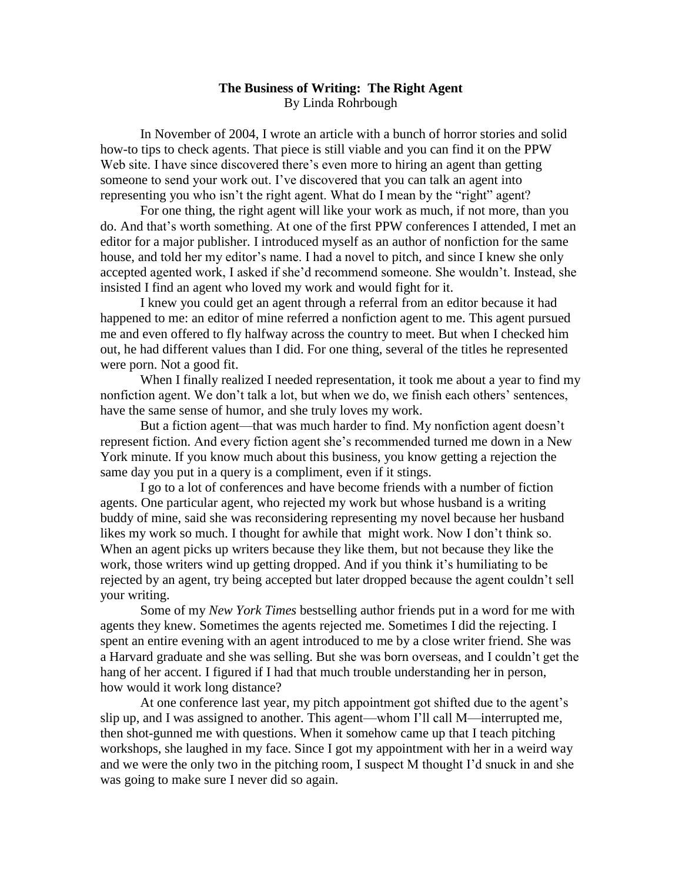## **The Business of Writing: The Right Agent** By Linda Rohrbough

In November of 2004, I wrote an article with a bunch of horror stories and solid how-to tips to check agents. That piece is still viable and you can find it on the PPW Web site. I have since discovered there's even more to hiring an agent than getting someone to send your work out. I've discovered that you can talk an agent into representing you who isn't the right agent. What do I mean by the "right" agent?

For one thing, the right agent will like your work as much, if not more, than you do. And that's worth something. At one of the first PPW conferences I attended, I met an editor for a major publisher. I introduced myself as an author of nonfiction for the same house, and told her my editor's name. I had a novel to pitch, and since I knew she only accepted agented work, I asked if she'd recommend someone. She wouldn't. Instead, she insisted I find an agent who loved my work and would fight for it.

I knew you could get an agent through a referral from an editor because it had happened to me: an editor of mine referred a nonfiction agent to me. This agent pursued me and even offered to fly halfway across the country to meet. But when I checked him out, he had different values than I did. For one thing, several of the titles he represented were porn. Not a good fit.

When I finally realized I needed representation, it took me about a year to find my nonfiction agent. We don't talk a lot, but when we do, we finish each others' sentences, have the same sense of humor, and she truly loves my work.

But a fiction agent—that was much harder to find. My nonfiction agent doesn't represent fiction. And every fiction agent she's recommended turned me down in a New York minute. If you know much about this business, you know getting a rejection the same day you put in a query is a compliment, even if it stings.

I go to a lot of conferences and have become friends with a number of fiction agents. One particular agent, who rejected my work but whose husband is a writing buddy of mine, said she was reconsidering representing my novel because her husband likes my work so much. I thought for awhile that might work. Now I don't think so. When an agent picks up writers because they like them, but not because they like the work, those writers wind up getting dropped. And if you think it's humiliating to be rejected by an agent, try being accepted but later dropped because the agent couldn't sell your writing.

Some of my *New York Times* bestselling author friends put in a word for me with agents they knew. Sometimes the agents rejected me. Sometimes I did the rejecting. I spent an entire evening with an agent introduced to me by a close writer friend. She was a Harvard graduate and she was selling. But she was born overseas, and I couldn't get the hang of her accent. I figured if I had that much trouble understanding her in person, how would it work long distance?

At one conference last year, my pitch appointment got shifted due to the agent's slip up, and I was assigned to another. This agent—whom I'll call M—interrupted me, then shot-gunned me with questions. When it somehow came up that I teach pitching workshops, she laughed in my face. Since I got my appointment with her in a weird way and we were the only two in the pitching room, I suspect M thought I'd snuck in and she was going to make sure I never did so again.